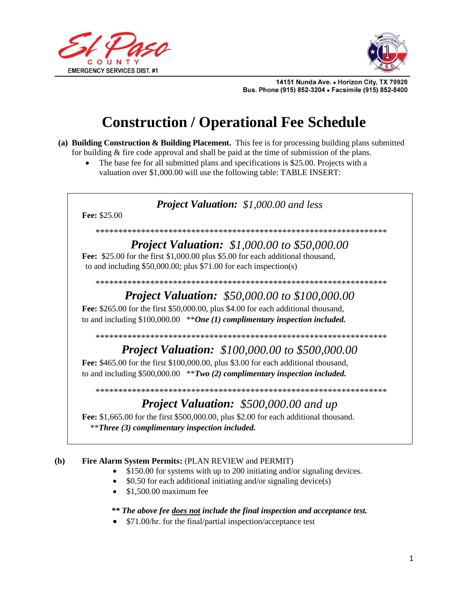



14151 Nunda Ave. . Horizon City, TX 79928 Bus. Phone (915) 852-3204 . Facsimile (915) 852-8400

# **Construction / Operational Fee Schedule**

- (a) Building Construction & Building Placement. This fee is for processing building plans submitted for building & fire code approval and shall be paid at the time of submission of the plans.
	- The base fee for all submitted plans and specifications is \$25.00. Projects with a valuation over \$1,000.00 will use the following table: TABLE INSERT:

### **Project Valuation:** \$1,000.00 and less

Fee: \$25.00

#### 

### **Project Valuation:** \$1,000.00 to \$50,000.00

Fee: \$25.00 for the first \$1,000.00 plus \$5.00 for each additional thousand, to and including  $$50,000.00$ ; plus  $$71.00$  for each inspection(s)

### **Project Valuation:** \$50,000.00 to \$100,000.00

Fee: \$265.00 for the first \$50,000.00, plus \$4.00 for each additional thousand, to and including  $$100,000.00$  \*\*One (1) complimentary inspection included.

#### 

## **Project Valuation:** \$100,000.00 to \$500,000.00

Fee: \$465.00 for the first \$100,000.00, plus \$3.00 for each additional thousand, to and including  $$500,000.00$  \*\**Two (2) complimentary inspection included.* 

## **Project Valuation:** \$500,000.00 and up

Fee: \$1,665.00 for the first \$500,000.00, plus \$2.00 for each additional thousand. *\*\*Three (3) complimentary inspection included.* 

#### Fire Alarm System Permits: (PLAN REVIEW and PERMIT) **(b)**

- \$150.00 for systems with up to 200 initiating and/or signaling devices.
- \$0.50 for each additional initiating and/or signaling device(s)
- \$1,500.00 maximum fee

#### \*\* The above fee does not include the final inspection and acceptance test.

•  $$71.00/hr$ . for the final/partial inspection/acceptance test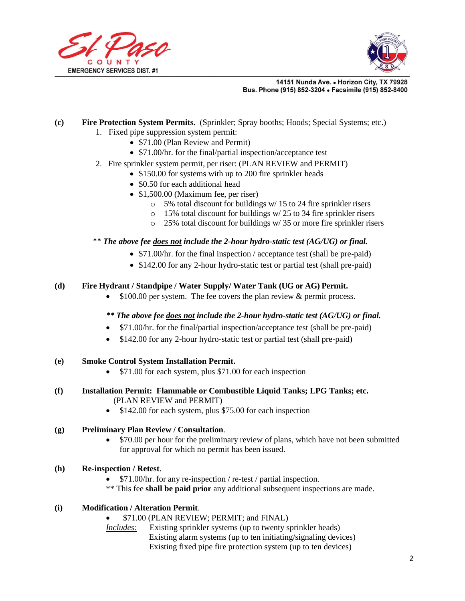



14151 Nunda Ave. . Horizon City, TX 79928 Bus. Phone (915) 852-3204 . Facsimile (915) 852-8400

#### **(c) Fire Protection System Permits.** (Sprinkler; Spray booths; Hoods; Special Systems; etc.)

- 1. Fixed pipe suppression system permit:
	- \$71.00 (Plan Review and Permit)
	- \$71.00/hr. for the final/partial inspection/acceptance test
- 2. Fire sprinkler system permit, per riser: (PLAN REVIEW and PERMIT)
	- \$150.00 for systems with up to 200 fire sprinkler heads
	- \$0.50 for each additional head
	- \$1,500.00 (Maximum fee, per riser)
		- $\circ$  5% total discount for buildings w/ 15 to 24 fire sprinkler risers
		- o 15% total discount for buildings w/ 25 to 34 fire sprinkler risers
		- o 25% total discount for buildings w/ 35 or more fire sprinkler risers

#### \*\* *The above fee does not include the 2-hour hydro-static test (AG/UG) or final.*

- \$71.00/hr. for the final inspection / acceptance test (shall be pre-paid)
- \$142.00 for any 2-hour hydro-static test or partial test (shall pre-paid)

#### **(d) Fire Hydrant / Standpipe / Water Supply/ Water Tank (UG or AG) Permit.**

• \$100.00 per system. The fee covers the plan review & permit process.

#### *\*\* The above fee does not include the 2-hour hydro-static test (AG/UG) or final.*

- \$71.00/hr. for the final/partial inspection/acceptance test (shall be pre-paid)
- \$142.00 for any 2-hour hydro-static test or partial test (shall pre-paid)
- **(e) Smoke Control System Installation Permit.** 
	- \$71.00 for each system, plus \$71.00 for each inspection
- **(f) Installation Permit: Flammable or Combustible Liquid Tanks; LPG Tanks; etc.** (PLAN REVIEW and PERMIT)
	- \$142.00 for each system, plus \$75.00 for each inspection

#### **(g) Preliminary Plan Review / Consultation**.

• \$70.00 per hour for the preliminary review of plans, which have not been submitted for approval for which no permit has been issued.

#### **(h) Re-inspection / Retest**.

- \$71.00/hr. for any re-inspection / re-test / partial inspection.
- \*\* This fee **shall be paid prior** any additional subsequent inspections are made.

#### **(i) Modification / Alteration Permit**.

- \$71.00 (PLAN REVIEW; PERMIT; and FINAL)
- *Includes:* Existing sprinkler systems (up to twenty sprinkler heads) Existing alarm systems (up to ten initiating/signaling devices) Existing fixed pipe fire protection system (up to ten devices)